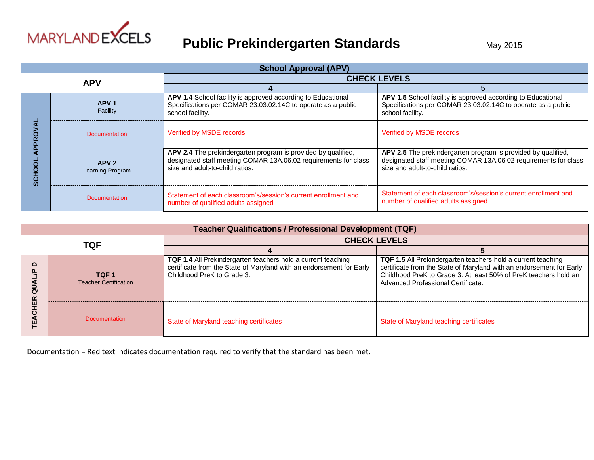

### **Public Prekindergarten Standards** May 2015

| <b>School Approval (APV)</b> |                                      |                                                                                                                                                                     |                                                                                                                                                                     |  |
|------------------------------|--------------------------------------|---------------------------------------------------------------------------------------------------------------------------------------------------------------------|---------------------------------------------------------------------------------------------------------------------------------------------------------------------|--|
| <b>APV</b>                   |                                      | <b>CHECK LEVELS</b>                                                                                                                                                 |                                                                                                                                                                     |  |
|                              |                                      |                                                                                                                                                                     |                                                                                                                                                                     |  |
|                              | APV <sub>1</sub><br>Facility         | APV 1.4 School facility is approved according to Educational<br>Specifications per COMAR 23.03.02.14C to operate as a public<br>school facility.                    | APV 1.5 School facility is approved according to Educational<br>Specifications per COMAR 23.03.02.14C to operate as a public<br>school facility.                    |  |
|                              | Documentation                        | Verified by MSDE records                                                                                                                                            | Verified by MSDE records                                                                                                                                            |  |
|                              | APV <sub>2</sub><br>Learning Program | APV 2.4 The prekindergarten program is provided by qualified,<br>designated staff meeting COMAR 13A.06.02 requirements for class<br>size and adult-to-child ratios. | APV 2.5 The prekindergarten program is provided by qualified,<br>designated staff meeting COMAR 13A.06.02 requirements for class<br>size and adult-to-child ratios. |  |
|                              | <b>Documentation</b>                 | Statement of each classroom's/session's current enrollment and<br>number of qualified adults assigned                                                               | Statement of each classroom's/session's current enrollment and<br>number of qualified adults assigned                                                               |  |

| <b>Teacher Qualifications / Professional Development (TQF)</b> |                                                  |                                                                                                                                                                           |                                                                                                                                                                                                                                                       |  |
|----------------------------------------------------------------|--------------------------------------------------|---------------------------------------------------------------------------------------------------------------------------------------------------------------------------|-------------------------------------------------------------------------------------------------------------------------------------------------------------------------------------------------------------------------------------------------------|--|
| TQF                                                            |                                                  | <b>CHECK LEVELS</b>                                                                                                                                                       |                                                                                                                                                                                                                                                       |  |
|                                                                |                                                  |                                                                                                                                                                           |                                                                                                                                                                                                                                                       |  |
|                                                                | TQF <sub>1</sub><br><b>Teacher Certification</b> | <b>TQF 1.4</b> All Prekindergarten teachers hold a current teaching<br>certificate from the State of Maryland with an endorsement for Early<br>Childhood PreK to Grade 3. | <b>TQF 1.5</b> All Prekindergarten teachers hold a current teaching<br>certificate from the State of Maryland with an endorsement for Early<br>Childhood PreK to Grade 3. At least 50% of PreK teachers hold an<br>Advanced Professional Certificate. |  |
|                                                                | <b>Documentation</b>                             | State of Maryland teaching certificates                                                                                                                                   | State of Maryland teaching certificates                                                                                                                                                                                                               |  |

Documentation = Red text indicates documentation required to verify that the standard has been met.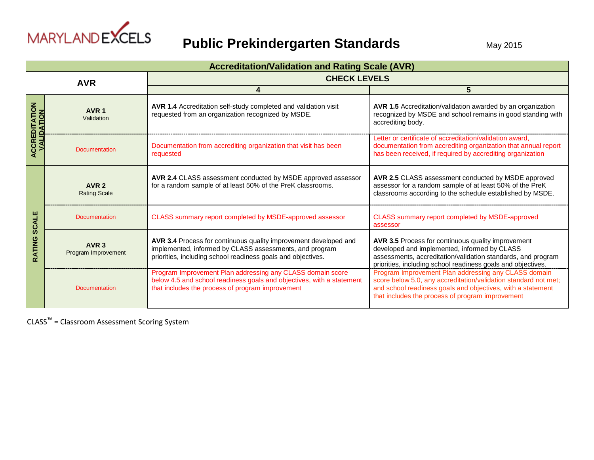

|                                         | <b>Accreditation/Validation and Rating Scale (AVR)</b> |                                                                                                                                                                                             |                                                                                                                                                                                                                                            |  |
|-----------------------------------------|--------------------------------------------------------|---------------------------------------------------------------------------------------------------------------------------------------------------------------------------------------------|--------------------------------------------------------------------------------------------------------------------------------------------------------------------------------------------------------------------------------------------|--|
| <b>AVR</b>                              |                                                        | <b>CHECK LEVELS</b>                                                                                                                                                                         |                                                                                                                                                                                                                                            |  |
|                                         |                                                        |                                                                                                                                                                                             | 5                                                                                                                                                                                                                                          |  |
| $\overline{6}$<br>ALIDATION<br>CCREDITA | AVR <sub>1</sub><br>Validation                         | AVR 1.4 Accreditation self-study completed and validation visit<br>requested from an organization recognized by MSDE.                                                                       | AVR 1.5 Accreditation/validation awarded by an organization<br>recognized by MSDE and school remains in good standing with<br>accrediting body.                                                                                            |  |
|                                         | <b>Documentation</b>                                   | Documentation from accrediting organization that visit has been<br>requested                                                                                                                | Letter or certificate of accreditation/validation award,<br>documentation from accrediting organization that annual report<br>has been received, if required by accrediting organization                                                   |  |
| ш<br><b>SCALI</b><br>RATING             | AVR <sub>2</sub><br><b>Rating Scale</b>                | AVR 2.4 CLASS assessment conducted by MSDE approved assessor<br>for a random sample of at least 50% of the PreK classrooms.                                                                 | AVR 2.5 CLASS assessment conducted by MSDE approved<br>assessor for a random sample of at least 50% of the PreK<br>classrooms according to the schedule established by MSDE.                                                               |  |
|                                         | <b>Documentation</b>                                   | CLASS summary report completed by MSDE-approved assessor                                                                                                                                    | CLASS summary report completed by MSDE-approved<br>assessor                                                                                                                                                                                |  |
|                                         | AVR <sub>3</sub><br>Program Improvement                | AVR 3.4 Process for continuous quality improvement developed and<br>implemented, informed by CLASS assessments, and program<br>priorities, including school readiness goals and objectives. | AVR 3.5 Process for continuous quality improvement<br>developed and implemented, informed by CLASS<br>assessments, accreditation/validation standards, and program<br>priorities, including school readiness goals and objectives.         |  |
|                                         | <b>Documentation</b>                                   | Program Improvement Plan addressing any CLASS domain score<br>below 4.5 and school readiness goals and objectives, with a statement<br>that includes the process of program improvement     | Program Improvement Plan addressing any CLASS domain<br>score below 5.0, any accreditation/validation standard not met;<br>and school readiness goals and objectives, with a statement<br>that includes the process of program improvement |  |

CLASS**™** = Classroom Assessment Scoring System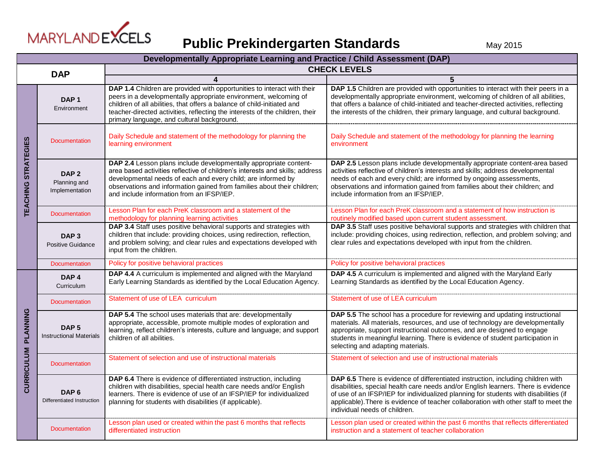

| Developmentally Appropriate Learning and Practice / Child Assessment (DAP) |                                                    |                                                                                                                                                                                                                                                                                                                                                      |                                                                                                                                                                                                                                                                                                                                                                                         |  |
|----------------------------------------------------------------------------|----------------------------------------------------|------------------------------------------------------------------------------------------------------------------------------------------------------------------------------------------------------------------------------------------------------------------------------------------------------------------------------------------------------|-----------------------------------------------------------------------------------------------------------------------------------------------------------------------------------------------------------------------------------------------------------------------------------------------------------------------------------------------------------------------------------------|--|
| <b>DAP</b>                                                                 |                                                    | <b>CHECK LEVELS</b>                                                                                                                                                                                                                                                                                                                                  |                                                                                                                                                                                                                                                                                                                                                                                         |  |
|                                                                            |                                                    |                                                                                                                                                                                                                                                                                                                                                      | 5                                                                                                                                                                                                                                                                                                                                                                                       |  |
| <b>TEACHING STRATEGIES</b>                                                 | DAP <sub>1</sub><br>Environment                    | DAP 1.4 Children are provided with opportunities to interact with their<br>peers in a developmentally appropriate environment, welcoming of<br>children of all abilities, that offers a balance of child-initiated and<br>teacher-directed activities, reflecting the interests of the children, their<br>primary language, and cultural background. | DAP 1.5 Children are provided with opportunities to interact with their peers in a<br>developmentally appropriate environment, welcoming of children of all abilities,<br>that offers a balance of child-initiated and teacher-directed activities, reflecting<br>the interests of the children, their primary language, and cultural background.                                       |  |
|                                                                            | <b>Documentation</b>                               | Daily Schedule and statement of the methodology for planning the<br>learning environment                                                                                                                                                                                                                                                             | Daily Schedule and statement of the methodology for planning the learning<br>environment                                                                                                                                                                                                                                                                                                |  |
|                                                                            | DAP <sub>2</sub><br>Planning and<br>Implementation | DAP 2.4 Lesson plans include developmentally appropriate content-<br>area based activities reflective of children's interests and skills; address<br>developmental needs of each and every child; are informed by<br>observations and information gained from families about their children;<br>and include information from an IFSP/IEP.            | DAP 2.5 Lesson plans include developmentally appropriate content-area based<br>activities reflective of children's interests and skills; address developmental<br>needs of each and every child; are informed by ongoing assessments,<br>observations and information gained from families about their children; and<br>include information from an IFSP/IEP.                           |  |
|                                                                            | <b>Documentation</b>                               | Lesson Plan for each PreK classroom and a statement of the<br>methodology for planning learning activities                                                                                                                                                                                                                                           | Lesson Plan for each PreK classroom and a statement of how instruction is<br>routinely modified based upon current student assessment.                                                                                                                                                                                                                                                  |  |
|                                                                            | DAP <sub>3</sub><br><b>Positive Guidance</b>       | DAP 3.4 Staff uses positive behavioral supports and strategies with<br>children that include: providing choices, using redirection, reflection,<br>and problem solving; and clear rules and expectations developed with<br>input from the children.                                                                                                  | DAP 3.5 Staff uses positive behavioral supports and strategies with children that<br>include: providing choices, using redirection, reflection, and problem solving; and<br>clear rules and expectations developed with input from the children.                                                                                                                                        |  |
|                                                                            | <b>Documentation</b>                               | Policy for positive behavioral practices                                                                                                                                                                                                                                                                                                             | Policy for positive behavioral practices                                                                                                                                                                                                                                                                                                                                                |  |
|                                                                            | DAP <sub>4</sub><br>Curriculum                     | DAP 4.4 A curriculum is implemented and aligned with the Maryland<br>Early Learning Standards as identified by the Local Education Agency.                                                                                                                                                                                                           | DAP 4.5 A curriculum is implemented and aligned with the Maryland Early<br>Learning Standards as identified by the Local Education Agency.                                                                                                                                                                                                                                              |  |
|                                                                            | <b>Documentation</b>                               | Statement of use of LEA curriculum                                                                                                                                                                                                                                                                                                                   | Statement of use of LEA curriculum                                                                                                                                                                                                                                                                                                                                                      |  |
| PLANNING                                                                   | DAP <sub>5</sub><br><b>Instructional Materials</b> | DAP 5.4 The school uses materials that are: developmentally<br>appropriate, accessible, promote multiple modes of exploration and<br>learning, reflect children's interests, culture and language; and support<br>children of all abilities.                                                                                                         | DAP 5.5 The school has a procedure for reviewing and updating instructional<br>materials. All materials, resources, and use of technology are developmentally<br>appropriate, support instructional outcomes, and are designed to engage<br>students in meaningful learning. There is evidence of student participation in<br>selecting and adapting materials.                         |  |
|                                                                            | <b>Documentation</b>                               | Statement of selection and use of instructional materials                                                                                                                                                                                                                                                                                            | Statement of selection and use of instructional materials                                                                                                                                                                                                                                                                                                                               |  |
| <b>CURRICULUM</b>                                                          | DAP <sub>6</sub><br>Differentiated Instruction     | DAP 6.4 There is evidence of differentiated instruction, including<br>children with disabilities, special health care needs and/or English<br>learners. There is evidence of use of an IFSP/IEP for individualized<br>planning for students with disabilities (if applicable).                                                                       | DAP 6.5 There is evidence of differentiated instruction, including children with<br>disabilities, special health care needs and/or English learners. There is evidence<br>of use of an IFSP/IEP for individualized planning for students with disabilities (if<br>applicable). There is evidence of teacher collaboration with other staff to meet the<br>individual needs of children. |  |
|                                                                            | <b>Documentation</b>                               | Lesson plan used or created within the past 6 months that reflects<br>differentiated instruction                                                                                                                                                                                                                                                     | Lesson plan used or created within the past 6 months that reflects differentiated<br>instruction and a statement of teacher collaboration                                                                                                                                                                                                                                               |  |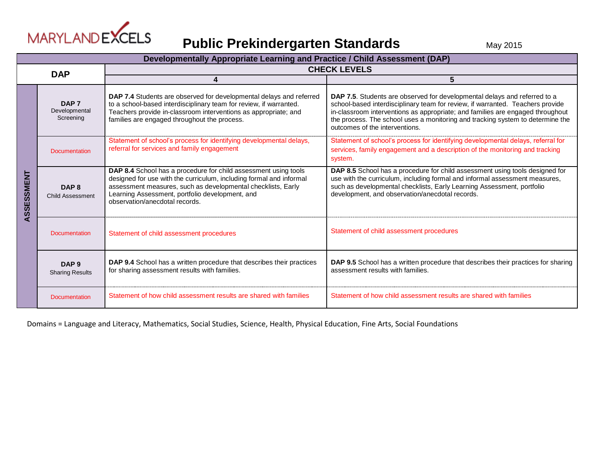

## **Public Prekindergarten Standards** May 2015

|            | Developmentally Appropriate Learning and Practice / Child Assessment (DAP) |                                                                                                                                                                                                                                                                                             |                                                                                                                                                                                                                                                                                                                                                                   |  |
|------------|----------------------------------------------------------------------------|---------------------------------------------------------------------------------------------------------------------------------------------------------------------------------------------------------------------------------------------------------------------------------------------|-------------------------------------------------------------------------------------------------------------------------------------------------------------------------------------------------------------------------------------------------------------------------------------------------------------------------------------------------------------------|--|
| <b>DAP</b> |                                                                            | <b>CHECK LEVELS</b>                                                                                                                                                                                                                                                                         |                                                                                                                                                                                                                                                                                                                                                                   |  |
|            |                                                                            | 4                                                                                                                                                                                                                                                                                           | 5                                                                                                                                                                                                                                                                                                                                                                 |  |
| ASSESSMENT | DAP <sub>7</sub><br>Developmental<br>Screening                             | DAP 7.4 Students are observed for developmental delays and referred<br>to a school-based interdisciplinary team for review, if warranted.<br>Teachers provide in-classroom interventions as appropriate; and<br>families are engaged throughout the process.                                | DAP 7.5. Students are observed for developmental delays and referred to a<br>school-based interdisciplinary team for review, if warranted. Teachers provide<br>in-classroom interventions as appropriate; and families are engaged throughout<br>the process. The school uses a monitoring and tracking system to determine the<br>outcomes of the interventions. |  |
|            | Documentation                                                              | Statement of school's process for identifying developmental delays,<br>referral for services and family engagement                                                                                                                                                                          | Statement of school's process for identifying developmental delays, referral for<br>services, family engagement and a description of the monitoring and tracking<br>system.                                                                                                                                                                                       |  |
|            | DAP <sub>8</sub><br><b>Child Assessment</b>                                | DAP 8.4 School has a procedure for child assessment using tools<br>designed for use with the curriculum, including formal and informal<br>assessment measures, such as developmental checklists, Early<br>Learning Assessment, portfolio development, and<br>observation/anecdotal records. | DAP 8.5 School has a procedure for child assessment using tools designed for<br>use with the curriculum, including formal and informal assessment measures,<br>such as developmental checklists, Early Learning Assessment, portfolio<br>development, and observation/anecdotal records.                                                                          |  |
|            | Documentation                                                              | Statement of child assessment procedures                                                                                                                                                                                                                                                    | Statement of child assessment procedures                                                                                                                                                                                                                                                                                                                          |  |
|            | DAP <sub>9</sub><br><b>Sharing Results</b>                                 | DAP 9.4 School has a written procedure that describes their practices<br>for sharing assessment results with families.                                                                                                                                                                      | DAP 9.5 School has a written procedure that describes their practices for sharing<br>assessment results with families.                                                                                                                                                                                                                                            |  |
|            | Documentation                                                              | Statement of how child assessment results are shared with families                                                                                                                                                                                                                          | Statement of how child assessment results are shared with families                                                                                                                                                                                                                                                                                                |  |

Domains = Language and Literacy, Mathematics, Social Studies, Science, Health, Physical Education, Fine Arts, Social Foundations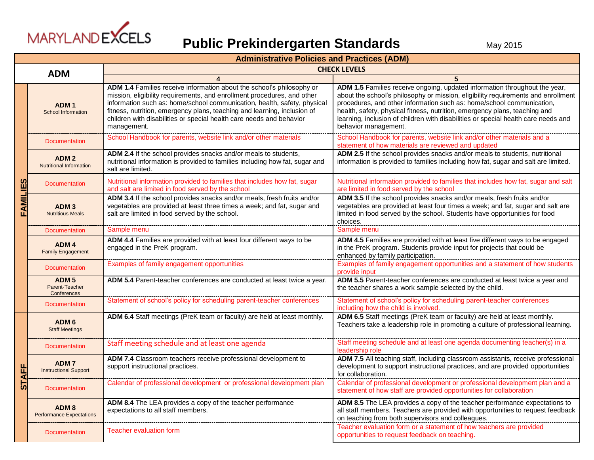

|                 | <b>Administrative Policies and Practices (ADM)</b>  |                                                                                                                                                                                                                                                                                                                                                                                                 |                                                                                                                                                                                                                                                                                                                                                                                                                                      |  |
|-----------------|-----------------------------------------------------|-------------------------------------------------------------------------------------------------------------------------------------------------------------------------------------------------------------------------------------------------------------------------------------------------------------------------------------------------------------------------------------------------|--------------------------------------------------------------------------------------------------------------------------------------------------------------------------------------------------------------------------------------------------------------------------------------------------------------------------------------------------------------------------------------------------------------------------------------|--|
| <b>ADM</b>      |                                                     | <b>CHECK LEVELS</b>                                                                                                                                                                                                                                                                                                                                                                             |                                                                                                                                                                                                                                                                                                                                                                                                                                      |  |
|                 |                                                     |                                                                                                                                                                                                                                                                                                                                                                                                 | 5                                                                                                                                                                                                                                                                                                                                                                                                                                    |  |
| <b>FAMILIES</b> | ADM <sub>1</sub><br><b>School Information</b>       | ADM 1.4 Families receive information about the school's philosophy or<br>mission, eligibility requirements, and enrollment procedures, and other<br>information such as: home/school communication, health, safety, physical<br>fitness, nutrition, emergency plans, teaching and learning, inclusion of<br>children with disabilities or special health care needs and behavior<br>management. | ADM 1.5 Families receive ongoing, updated information throughout the year,<br>about the school's philosophy or mission, eligibility requirements and enrollment<br>procedures, and other information such as: home/school communication,<br>health, safety, physical fitness, nutrition, emergency plans, teaching and<br>learning, inclusion of children with disabilities or special health care needs and<br>behavior management. |  |
|                 | <b>Documentation</b>                                | School Handbook for parents, website link and/or other materials                                                                                                                                                                                                                                                                                                                                | School Handbook for parents, website link and/or other materials and a<br>statement of how materials are reviewed and updated                                                                                                                                                                                                                                                                                                        |  |
|                 | ADM <sub>2</sub><br><b>Nutritional Information</b>  | ADM 2.4 If the school provides snacks and/or meals to students,<br>nutritional information is provided to families including how fat, sugar and<br>salt are limited.                                                                                                                                                                                                                            | ADM 2.5 If the school provides snacks and/or meals to students, nutritional<br>information is provided to families including how fat, sugar and salt are limited.                                                                                                                                                                                                                                                                    |  |
|                 | <b>Documentation</b>                                | Nutritional information provided to families that includes how fat, sugar<br>and salt are limited in food served by the school                                                                                                                                                                                                                                                                  | Nutritional information provided to families that includes how fat, sugar and salt<br>are limited in food served by the school                                                                                                                                                                                                                                                                                                       |  |
|                 | ADM <sub>3</sub><br><b>Nutritious Meals</b>         | ADM 3.4 If the school provides snacks and/or meals, fresh fruits and/or<br>vegetables are provided at least three times a week; and fat, sugar and<br>salt are limited in food served by the school.                                                                                                                                                                                            | ADM 3.5 If the school provides snacks and/or meals, fresh fruits and/or<br>vegetables are provided at least four times a week; and fat, sugar and salt are<br>limited in food served by the school. Students have opportunities for food<br>choices.                                                                                                                                                                                 |  |
|                 | <b>Documentation</b>                                | Sample menu                                                                                                                                                                                                                                                                                                                                                                                     | Sample menu                                                                                                                                                                                                                                                                                                                                                                                                                          |  |
|                 | ADM <sub>4</sub><br><b>Family Engagement</b>        | ADM 4.4 Families are provided with at least four different ways to be<br>engaged in the PreK program.                                                                                                                                                                                                                                                                                           | ADM 4.5 Families are provided with at least five different ways to be engaged<br>in the PreK program. Students provide input for projects that could be<br>enhanced by family participation.                                                                                                                                                                                                                                         |  |
|                 | <b>Documentation</b>                                | Examples of family engagement opportunities                                                                                                                                                                                                                                                                                                                                                     | Examples of family engagement opportunities and a statement of how students<br>provide input                                                                                                                                                                                                                                                                                                                                         |  |
|                 | ADM <sub>5</sub><br>Parent-Teacher<br>Conferences   | ADM 5.4 Parent-teacher conferences are conducted at least twice a year.                                                                                                                                                                                                                                                                                                                         | ADM 5.5 Parent-teacher conferences are conducted at least twice a year and<br>the teacher shares a work sample selected by the child.                                                                                                                                                                                                                                                                                                |  |
|                 | <b>Documentation</b>                                | Statement of school's policy for scheduling parent-teacher conferences                                                                                                                                                                                                                                                                                                                          | Statement of school's policy for scheduling parent-teacher conferences<br>including how the child is involved.                                                                                                                                                                                                                                                                                                                       |  |
| <b>STAFF</b>    | ADM <sub>6</sub><br><b>Staff Meetings</b>           | ADM 6.4 Staff meetings (PreK team or faculty) are held at least monthly.                                                                                                                                                                                                                                                                                                                        | ADM 6.5 Staff meetings (PreK team or faculty) are held at least monthly.<br>Teachers take a leadership role in promoting a culture of professional learning.                                                                                                                                                                                                                                                                         |  |
|                 | <b>Documentation</b>                                | Staff meeting schedule and at least one agenda                                                                                                                                                                                                                                                                                                                                                  | Staff meeting schedule and at least one agenda documenting teacher(s) in a<br>leadership role                                                                                                                                                                                                                                                                                                                                        |  |
|                 | ADM <sub>7</sub><br><b>Instructional Support</b>    | ADM 7.4 Classroom teachers receive professional development to<br>support instructional practices.                                                                                                                                                                                                                                                                                              | ADM 7.5 All teaching staff, including classroom assistants, receive professional<br>development to support instructional practices, and are provided opportunities<br>for collaboration.                                                                                                                                                                                                                                             |  |
|                 | <b>Documentation</b>                                | Calendar of professional development or professional development plan                                                                                                                                                                                                                                                                                                                           | Calendar of professional development or professional development plan and a<br>statement of how staff are provided opportunities for collaboration                                                                                                                                                                                                                                                                                   |  |
|                 | ADM <sub>8</sub><br><b>Performance Expectations</b> | ADM 8.4 The LEA provides a copy of the teacher performance<br>expectations to all staff members.                                                                                                                                                                                                                                                                                                | ADM 8.5 The LEA provides a copy of the teacher performance expectations to<br>all staff members. Teachers are provided with opportunities to request feedback<br>on teaching from both supervisors and colleagues.                                                                                                                                                                                                                   |  |
|                 | <b>Documentation</b>                                | <b>Teacher evaluation form</b>                                                                                                                                                                                                                                                                                                                                                                  | Teacher evaluation form or a statement of how teachers are provided<br>opportunities to request feedback on teaching.                                                                                                                                                                                                                                                                                                                |  |